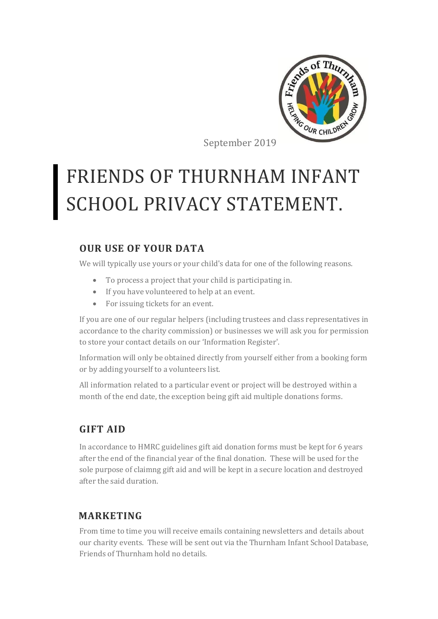

September 2019

# FRIENDS OF THURNHAM INFANT SCHOOL PRIVACY STATEMENT.

## **OUR USE OF YOUR DATA**

We will typically use yours or your child's data for one of the following reasons.

- To process a project that your child is participating in.
- If you have volunteered to help at an event.
- For issuing tickets for an event.

If you are one of our regular helpers (including trustees and class representatives in accordance to the charity commission) or businesses we will ask you for permission to store your contact details on our 'Information Register'.

Information will only be obtained directly from yourself either from a booking form or by adding yourself to a volunteers list.

All information related to a particular event or project will be destroyed within a month of the end date, the exception being gift aid multiple donations forms.

## **GIFT AID**

In accordance to HMRC guidelines gift aid donation forms must be kept for 6 years after the end of the financial year of the final donation. These will be used for the sole purpose of claimng gift aid and will be kept in a secure location and destroyed after the said duration.

## **MARKETING**

From time to time you will receive emails containing newsletters and details about our charity events. These will be sent out via the Thurnham Infant School Database, Friends of Thurnham hold no details.